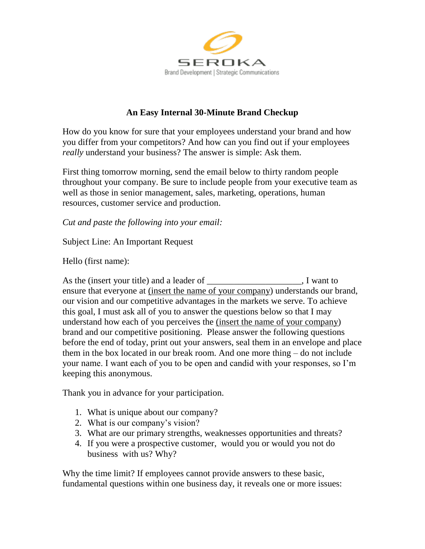

## **An Easy Internal 30-Minute Brand Checkup**

How do you know for sure that your employees understand your brand and how you differ from your competitors? And how can you find out if your employees *really* understand your business? The answer is simple: Ask them.

First thing tomorrow morning, send the email below to thirty random people throughout your company. Be sure to include people from your executive team as well as those in senior management, sales, marketing, operations, human resources, customer service and production.

*Cut and paste the following into your email:*

Subject Line: An Important Request

Hello (first name):

As the (insert your title) and a leader of \_\_\_\_\_\_\_\_\_\_\_\_\_\_\_\_\_\_\_\_\_, I want to ensure that everyone at (insert the name of your company) understands our brand, our vision and our competitive advantages in the markets we serve. To achieve this goal, I must ask all of you to answer the questions below so that I may understand how each of you perceives the (insert the name of your company) brand and our competitive positioning. Please answer the following questions before the end of today, print out your answers, seal them in an envelope and place them in the box located in our break room. And one more thing – do not include your name. I want each of you to be open and candid with your responses, so I'm keeping this anonymous.

Thank you in advance for your participation.

- 1. What is unique about our company?
- 2. What is our company's vision?
- 3. What are our primary strengths, weaknesses opportunities and threats?
- 4. If you were a prospective customer, would you or would you not do business with us? Why?

Why the time limit? If employees cannot provide answers to these basic, fundamental questions within one business day, it reveals one or more issues: